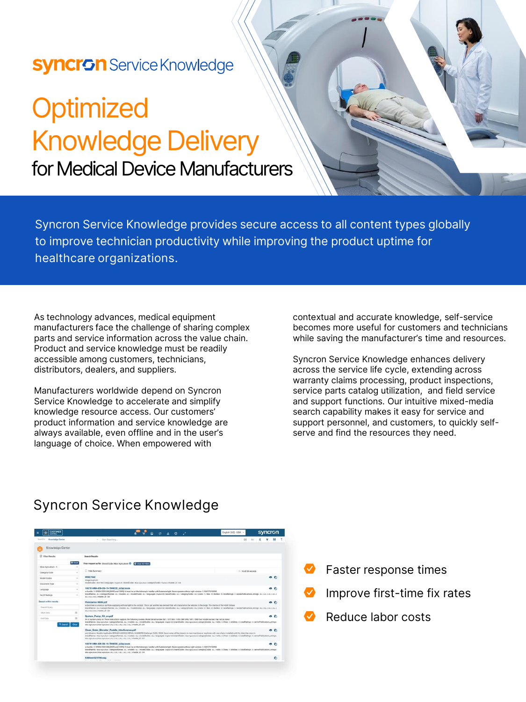## **Syncron** Service Knowledge

# **Optimized** Knowledge Delivery for Medical Device Manufacturers

Syncron Service Knowledge provides secure access to all content types globally to improve technician productivity while improving the product uptime for **healthcare organizations.**

As technology advances, medical equipment manufacturers face the challenge of sharing complex parts and service information across the value chain. Product and service knowledge must be readily accessible among customers, technicians, distributors, dealers, and suppliers.

Manufacturers worldwide depend on Syncron Service Knowledge to accelerate and simplify knowledge resource access. Our customers' product information and service knowledge are always available, even offline and in the user's language of choice. When empowered with

contextual and accurate knowledge, self-service becomes more useful for customers and technicians while saving the manufacturer's time and resources.

Syncron Service Knowledge enhances delivery across the service life cycle, extending across warranty claims processing, product inspections, service parts catalog utilization, and field service and support functions. Our intuitive mixed-media search capability makes it easy for service and support personnel, and customers, to quickly selfserve and find the resources they need.

### **Syncron Service Knowledge**

| .e.<br>-------<br><b>CENTRAL</b>              |                |                                                                                                                                                                                                                                                                                                                                                                                                                                                                                                                                                                                                                                                                                     | EUGENI (not - now - »<br><b>Syncroni</b> |  |
|-----------------------------------------------|----------------|-------------------------------------------------------------------------------------------------------------------------------------------------------------------------------------------------------------------------------------------------------------------------------------------------------------------------------------------------------------------------------------------------------------------------------------------------------------------------------------------------------------------------------------------------------------------------------------------------------------------------------------------------------------------------------------|------------------------------------------|--|
| Sweeth In<br><b>Krowledge Carder</b>          |                | - Start Gearching                                                                                                                                                                                                                                                                                                                                                                                                                                                                                                                                                                                                                                                                   | 90                                       |  |
| Knowledge Center                              |                |                                                                                                                                                                                                                                                                                                                                                                                                                                                                                                                                                                                                                                                                                     |                                          |  |
| <b>C</b> Fiber Banalta                        |                | <b>Search Benufits</b>                                                                                                                                                                                                                                                                                                                                                                                                                                                                                                                                                                                                                                                              |                                          |  |
|                                               | <b>O</b> Recet | Your request so far: Brand Code Mize Agriculture O C Contr NETERES                                                                                                                                                                                                                                                                                                                                                                                                                                                                                                                                                                                                                  |                                          |  |
| Max Apriculture - 4                           |                | C Hide Summary                                                                                                                                                                                                                                                                                                                                                                                                                                                                                                                                                                                                                                                                      | 1 - 10 of 20 records                     |  |
| Calegory Code                                 | $\sim$         |                                                                                                                                                                                                                                                                                                                                                                                                                                                                                                                                                                                                                                                                                     |                                          |  |
| Model Codes:                                  | ٠              | WHIT7060<br>Image/exprend                                                                                                                                                                                                                                                                                                                                                                                                                                                                                                                                                                                                                                                           | の前                                       |  |
| Document Type                                 | ٠              | modelOpday, Writtell (languages English (8) StandOpday, Max Aproduce   categoryCodes / Vactors   History 37 Sea                                                                                                                                                                                                                                                                                                                                                                                                                                                                                                                                                                     |                                          |  |
| Language                                      | ٠              | 1857914M4-EN-09-19-TH6030 (s3a).book<br>o n<br>or buckle, 2. CPERATOR CAB (ROPS) and FOPS). It must be on the inleasopic handler with fasteners light. Never operate without right window. 3. SAFETY SIGNS                                                                                                                                                                                                                                                                                                                                                                                                                                                                          |                                          |  |
| No Of Ratings                                 | $\sim$         | Branchhames: ALL   categoryNames: ALL   models: ALL   modelDodes: ALL   languages: Duplin-05   brandDodes: ALL   xategoryDodes: ALL   visits: 1   Silve: 11:dislays: 0   testelPublications: 0   serverPublications: 0   serve<br>ALL CALL CALL Treasfer, 2d: 264                                                                                                                                                                                                                                                                                                                                                                                                                   |                                          |  |
| Search within results<br>Pininfarina H600.pdf |                |                                                                                                                                                                                                                                                                                                                                                                                                                                                                                                                                                                                                                                                                                     | $-0$                                     |  |
| Search Overy                                  |                | to becomes a luntinous portfolio supplying artificial light to the coolpit. This is yet prother key element that will characterize the vehicles in the range. The interior of the H600 follows<br>SnandNames: ALL Leaboprofilemen: ALL Imodels: ALL ImodelDistine: ALL I languages: Duple-US I brandDodes: ALL I compos/Dodes: ALL I Vests: 4 L Debta 10 Uses: 0 Uses: 0 Uses: 0 Uses/Dallaces: 0 1 testimony, 41 series/hybbost<br>ALL 2 ALL CALL [ Wandler, M. 1988<br>System Pump Kit en.pdf<br>0.6<br>54 or system pump kit These instructions apply to the following models. Model Serial number 567 / 577 548 / 578 / 588 596 / 597 / 598 Your model number may not be fisted |                                          |  |
| <b>Thart Data</b>                             | $\equiv$       |                                                                                                                                                                                                                                                                                                                                                                                                                                                                                                                                                                                                                                                                                     |                                          |  |
| End Date                                      | $\equiv$       |                                                                                                                                                                                                                                                                                                                                                                                                                                                                                                                                                                                                                                                                                     |                                          |  |
| Q Search                                      | Clear          | branchfurres: Max-Agrestive   category/Names: ALL   models: ALL   models: ALL   languages: buysa-izs   brandCodes: Max Agrestive   category/Codes: ALL   visits: 0   likes: 0   dolding: 0   totalisming: 14 series/Publicatio<br>Max Agriculture   Max Agriculture   ALL S ALL S ALL E ALL E ALL   meetler_30 : 259                                                                                                                                                                                                                                                                                                                                                                |                                          |  |
|                                               |                | Clean Grain Elevator Paddle Interference.pdf                                                                                                                                                                                                                                                                                                                                                                                                                                                                                                                                                                                                                                        | 00                                       |  |
|                                               |                | and vitroston. Models Analysis \$9AM26 M2061.9 SERIAL NUMBERS Challenger S&SC FS62C Some noise will be creared on men machines or machines with new chains installed until the chain has worn in<br>Standfaarnes Idos Agrostus   category/Names .ALL Imodels .ALL ImodelCodes .ALL Therpuppes Depan/All ImportCodes Intex Agrostus   category/Codes .ALL I Visits .al   Visits .al   Visits .al   Visits .al   Visits .al   1986 .<br>RASH Agriculture   More Agriculture   ALL 1 ALL 1 ALL 1 ALL 1 ALL 1 Miles Dec 1 1 And 1 A                                                                                                                                                     |                                          |  |
|                                               |                | 1857914M4-EN-09-19-TH6030_63al.book                                                                                                                                                                                                                                                                                                                                                                                                                                                                                                                                                                                                                                                 | 00                                       |  |
|                                               |                | or buckle, 2. CPERATOR CAB (ROPS) and FOPS). It must be on the telescopic handler with fasteners tight. Never operate without right window. It. SAFETY SIGNS<br>brandflames: Islandson/Lealingty/Warnes: ALL Trepdels: ALL Trepdels: ALL Transieurs: Transieurs: Transieurs: Transieurs: University/Codes: Island Codes: ALL LYstin: 0 (Wars: 01 Tehnics: 01 Transieurs: 21 Transieurs: 21 Tra<br>Mire Aproxities   Mire Aprindture   ALL   ALL   ALL   ALL   ALL   master_30 - 255                                                                                                                                                                                                 |                                          |  |
|                                               |                | E3Sheet521793.svg                                                                                                                                                                                                                                                                                                                                                                                                                                                                                                                                                                                                                                                                   | ٠                                        |  |

- Faster response times
- Improve first-time fix rates
- Reduce labor costs